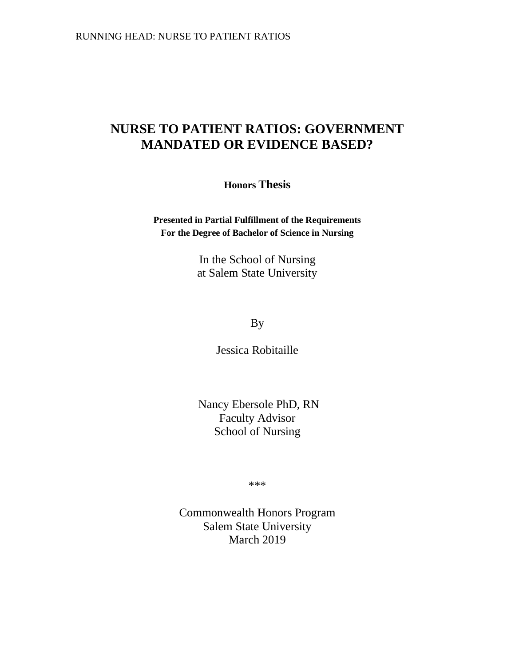# **NURSE TO PATIENT RATIOS: GOVERNMENT MANDATED OR EVIDENCE BASED?**

**Honors Thesis**

**Presented in Partial Fulfillment of the Requirements For the Degree of Bachelor of Science in Nursing**

> In the School of Nursing at Salem State University

> > By

Jessica Robitaille

Nancy Ebersole PhD, RN Faculty Advisor School of Nursing

\*\*\*

Commonwealth Honors Program Salem State University March 2019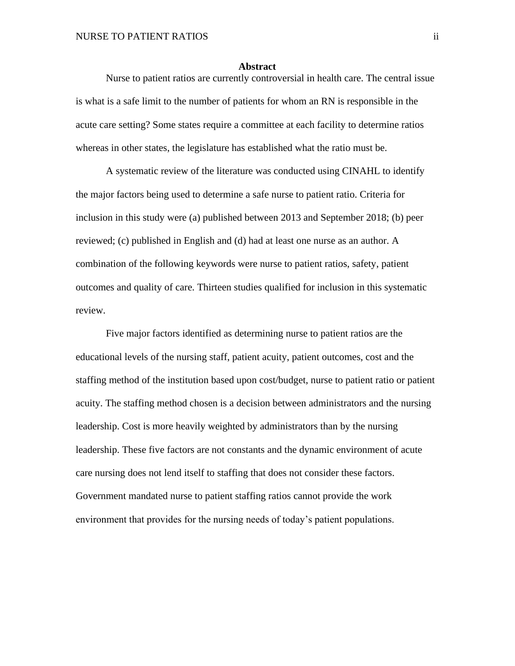#### **Abstract**

<span id="page-1-0"></span>Nurse to patient ratios are currently controversial in health care. The central issue is what is a safe limit to the number of patients for whom an RN is responsible in the acute care setting? Some states require a committee at each facility to determine ratios whereas in other states, the legislature has established what the ratio must be.

A systematic review of the literature was conducted using CINAHL to identify the major factors being used to determine a safe nurse to patient ratio. Criteria for inclusion in this study were (a) published between 2013 and September 2018; (b) peer reviewed; (c) published in English and (d) had at least one nurse as an author. A combination of the following keywords were nurse to patient ratios, safety, patient outcomes and quality of care. Thirteen studies qualified for inclusion in this systematic review.

Five major factors identified as determining nurse to patient ratios are the educational levels of the nursing staff, patient acuity, patient outcomes, cost and the staffing method of the institution based upon cost/budget, nurse to patient ratio or patient acuity. The staffing method chosen is a decision between administrators and the nursing leadership. Cost is more heavily weighted by administrators than by the nursing leadership. These five factors are not constants and the dynamic environment of acute care nursing does not lend itself to staffing that does not consider these factors. Government mandated nurse to patient staffing ratios cannot provide the work environment that provides for the nursing needs of today's patient populations.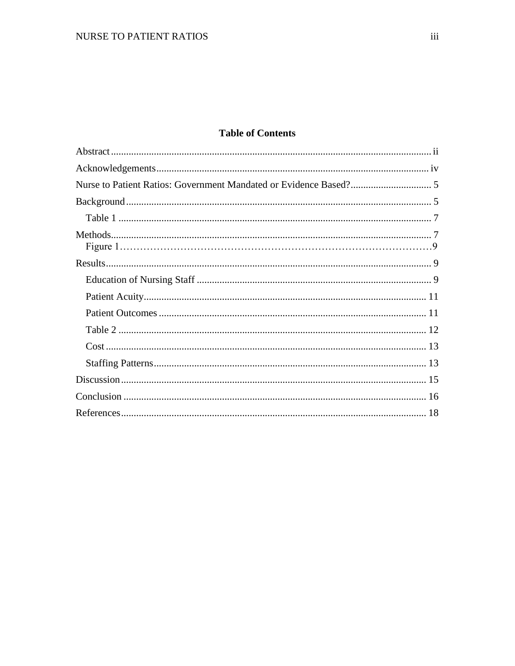## **Table of Contents**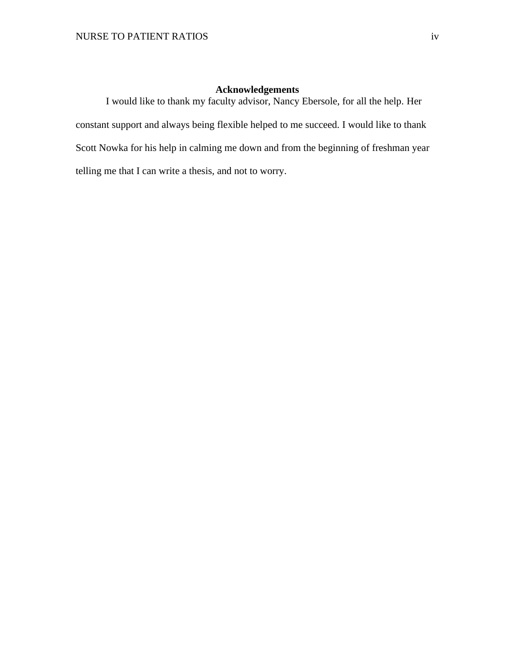## **Acknowledgements**

<span id="page-3-0"></span>I would like to thank my faculty advisor, Nancy Ebersole, for all the help. Her constant support and always being flexible helped to me succeed. I would like to thank Scott Nowka for his help in calming me down and from the beginning of freshman year telling me that I can write a thesis, and not to worry.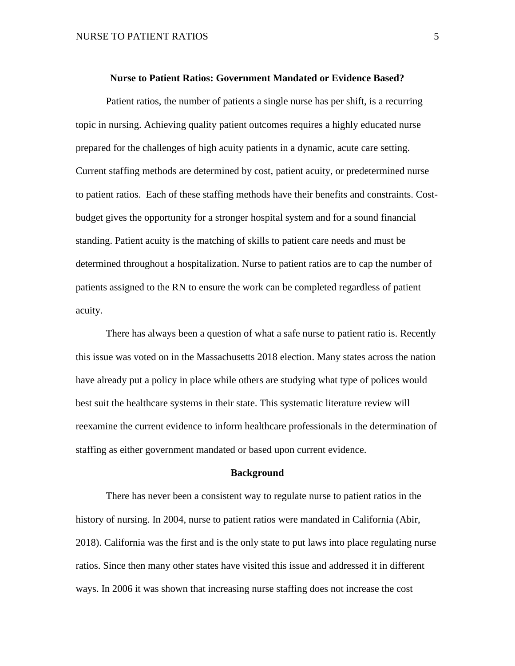#### **Nurse to Patient Ratios: Government Mandated or Evidence Based?**

<span id="page-4-0"></span>Patient ratios, the number of patients a single nurse has per shift, is a recurring topic in nursing. Achieving quality patient outcomes requires a highly educated nurse prepared for the challenges of high acuity patients in a dynamic, acute care setting. Current staffing methods are determined by cost, patient acuity, or predetermined nurse to patient ratios. Each of these staffing methods have their benefits and constraints. Costbudget gives the opportunity for a stronger hospital system and for a sound financial standing. Patient acuity is the matching of skills to patient care needs and must be determined throughout a hospitalization. Nurse to patient ratios are to cap the number of patients assigned to the RN to ensure the work can be completed regardless of patient acuity.

There has always been a question of what a safe nurse to patient ratio is. Recently this issue was voted on in the Massachusetts 2018 election. Many states across the nation have already put a policy in place while others are studying what type of polices would best suit the healthcare systems in their state. This systematic literature review will reexamine the current evidence to inform healthcare professionals in the determination of staffing as either government mandated or based upon current evidence.

#### **Background**

<span id="page-4-1"></span>There has never been a consistent way to regulate nurse to patient ratios in the history of nursing. In 2004, nurse to patient ratios were mandated in California (Abir, 2018). California was the first and is the only state to put laws into place regulating nurse ratios. Since then many other states have visited this issue and addressed it in different ways. In 2006 it was shown that increasing nurse staffing does not increase the cost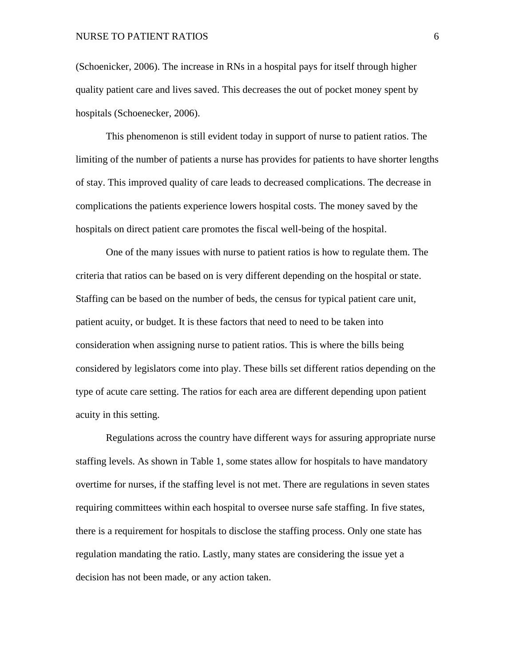(Schoenicker, 2006). The increase in RNs in a hospital pays for itself through higher quality patient care and lives saved. This decreases the out of pocket money spent by hospitals (Schoenecker, 2006).

This phenomenon is still evident today in support of nurse to patient ratios. The limiting of the number of patients a nurse has provides for patients to have shorter lengths of stay. This improved quality of care leads to decreased complications. The decrease in complications the patients experience lowers hospital costs. The money saved by the hospitals on direct patient care promotes the fiscal well-being of the hospital.

One of the many issues with nurse to patient ratios is how to regulate them. The criteria that ratios can be based on is very different depending on the hospital or state. Staffing can be based on the number of beds, the census for typical patient care unit, patient acuity, or budget. It is these factors that need to need to be taken into consideration when assigning nurse to patient ratios. This is where the bills being considered by legislators come into play. These bills set different ratios depending on the type of acute care setting. The ratios for each area are different depending upon patient acuity in this setting.

Regulations across the country have different ways for assuring appropriate nurse staffing levels. As shown in Table 1, some states allow for hospitals to have mandatory overtime for nurses, if the staffing level is not met. There are regulations in seven states requiring committees within each hospital to oversee nurse safe staffing. In five states, there is a requirement for hospitals to disclose the staffing process. Only one state has regulation mandating the ratio. Lastly, many states are considering the issue yet a decision has not been made, or any action taken.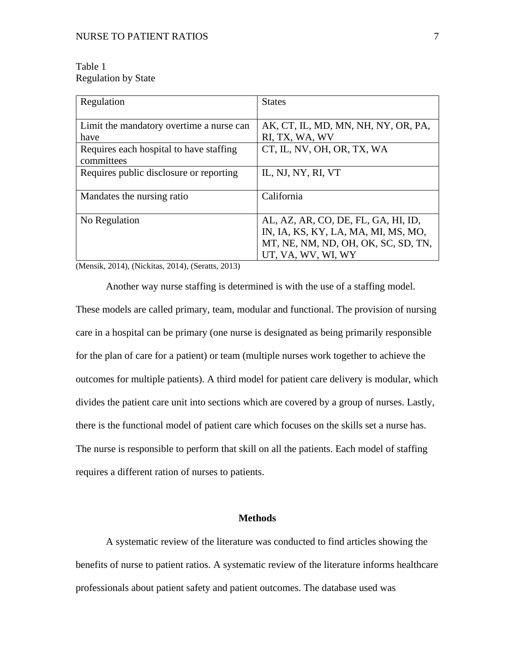## <span id="page-6-0"></span>Table 1 Regulation by State

| Regulation                               | <b>States</b>                       |
|------------------------------------------|-------------------------------------|
|                                          |                                     |
| Limit the mandatory overtime a nurse can | AK, CT, IL, MD, MN, NH, NY, OR, PA, |
| have                                     | RI, TX, WA, WV                      |
| Requires each hospital to have staffing  | CT, IL, NV, OH, OR, TX, WA          |
| committees                               |                                     |
| Requires public disclosure or reporting  | IL, NJ, NY, RI, VT                  |
|                                          |                                     |
| Mandates the nursing ratio               | California                          |
|                                          |                                     |
| No Regulation                            | AL, AZ, AR, CO, DE, FL, GA, HI, ID, |
|                                          | IN, IA, KS, KY, LA, MA, MI, MS, MO, |
|                                          | MT, NE, NM, ND, OH, OK, SC, SD, TN, |
|                                          | UT, VA, WV, WI, WY                  |

(Mensik, 2014), (Nickitas, 2014), (Seratts, 2013)

Another way nurse staffing is determined is with the use of a staffing model. These models are called primary, team, modular and functional. The provision of nursing care in a hospital can be primary (one nurse is designated as being primarily responsible for the plan of care for a patient) or team (multiple nurses work together to achieve the outcomes for multiple patients). A third model for patient care delivery is modular, which divides the patient care unit into sections which are covered by a group of nurses. Lastly, there is the functional model of patient care which focuses on the skills set a nurse has. The nurse is responsible to perform that skill on all the patients. Each model of staffing requires a different ration of nurses to patients.

### **Methods**

<span id="page-6-1"></span>A systematic review of the literature was conducted to find articles showing the benefits of nurse to patient ratios. A systematic review of the literature informs healthcare professionals about patient safety and patient outcomes. The database used was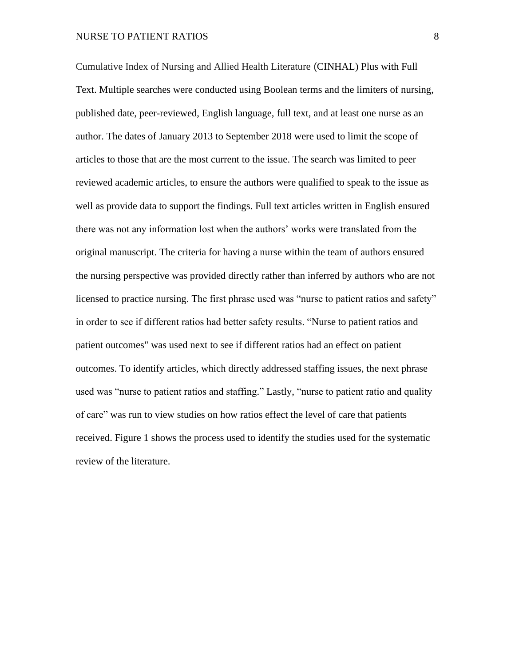Cumulative Index of Nursing and Allied Health Literature (CINHAL) Plus with Full Text. Multiple searches were conducted using Boolean terms and the limiters of nursing, published date, peer-reviewed, English language, full text, and at least one nurse as an author. The dates of January 2013 to September 2018 were used to limit the scope of articles to those that are the most current to the issue. The search was limited to peer reviewed academic articles, to ensure the authors were qualified to speak to the issue as well as provide data to support the findings. Full text articles written in English ensured there was not any information lost when the authors' works were translated from the original manuscript. The criteria for having a nurse within the team of authors ensured the nursing perspective was provided directly rather than inferred by authors who are not licensed to practice nursing. The first phrase used was "nurse to patient ratios and safety" in order to see if different ratios had better safety results. "Nurse to patient ratios and patient outcomes" was used next to see if different ratios had an effect on patient outcomes. To identify articles, which directly addressed staffing issues, the next phrase used was "nurse to patient ratios and staffing." Lastly, "nurse to patient ratio and quality of care" was run to view studies on how ratios effect the level of care that patients received. Figure 1 shows the process used to identify the studies used for the systematic review of the literature.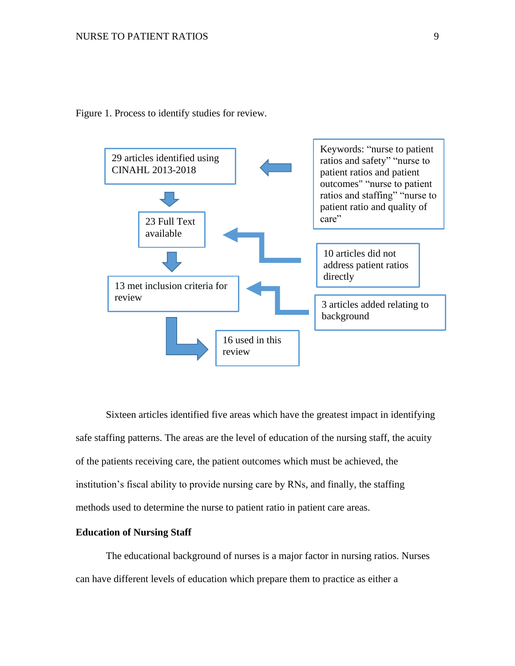Figure 1. Process to identify studies for review.

<span id="page-8-0"></span>

Sixteen articles identified five areas which have the greatest impact in identifying safe staffing patterns. The areas are the level of education of the nursing staff, the acuity of the patients receiving care, the patient outcomes which must be achieved, the institution's fiscal ability to provide nursing care by RNs, and finally, the staffing methods used to determine the nurse to patient ratio in patient care areas.

#### <span id="page-8-1"></span>**Education of Nursing Staff**

The educational background of nurses is a major factor in nursing ratios. Nurses can have different levels of education which prepare them to practice as either a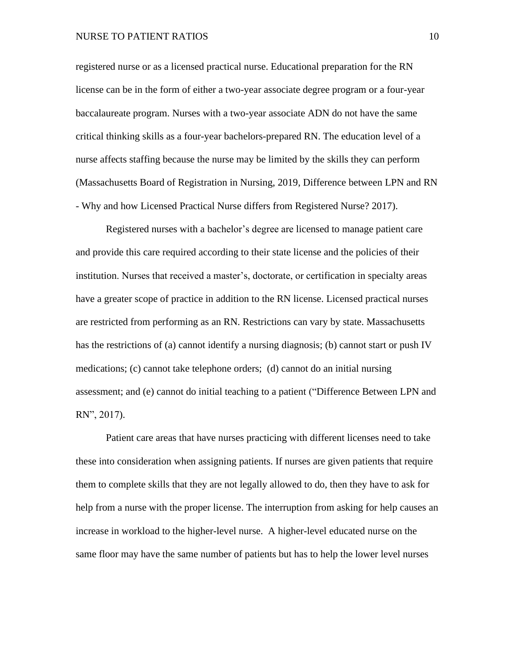#### NURSE TO PATIENT RATIOS 10

registered nurse or as a licensed practical nurse. Educational preparation for the RN license can be in the form of either a two-year associate degree program or a four-year baccalaureate program. Nurses with a two-year associate ADN do not have the same critical thinking skills as a four-year bachelors-prepared RN. The education level of a nurse affects staffing because the nurse may be limited by the skills they can perform (Massachusetts Board of Registration in Nursing, 2019, Difference between LPN and RN - Why and how Licensed Practical Nurse differs from Registered Nurse? 2017).

Registered nurses with a bachelor's degree are licensed to manage patient care and provide this care required according to their state license and the policies of their institution. Nurses that received a master's, doctorate, or certification in specialty areas have a greater scope of practice in addition to the RN license. Licensed practical nurses are restricted from performing as an RN. Restrictions can vary by state. Massachusetts has the restrictions of (a) cannot identify a nursing diagnosis; (b) cannot start or push IV medications; (c) cannot take telephone orders; (d) cannot do an initial nursing assessment; and (e) cannot do initial teaching to a patient ("Difference Between LPN and RN", 2017).

Patient care areas that have nurses practicing with different licenses need to take these into consideration when assigning patients. If nurses are given patients that require them to complete skills that they are not legally allowed to do, then they have to ask for help from a nurse with the proper license. The interruption from asking for help causes an increase in workload to the higher-level nurse. A higher-level educated nurse on the same floor may have the same number of patients but has to help the lower level nurses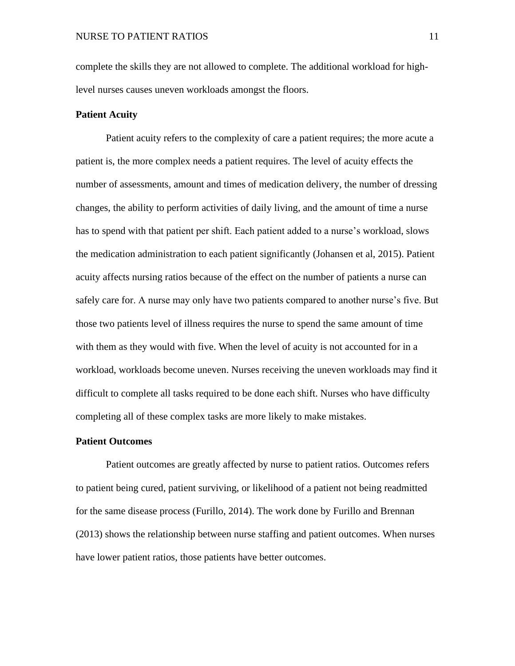complete the skills they are not allowed to complete. The additional workload for highlevel nurses causes uneven workloads amongst the floors.

### <span id="page-10-0"></span>**Patient Acuity**

Patient acuity refers to the complexity of care a patient requires; the more acute a patient is, the more complex needs a patient requires. The level of acuity effects the number of assessments, amount and times of medication delivery, the number of dressing changes, the ability to perform activities of daily living, and the amount of time a nurse has to spend with that patient per shift. Each patient added to a nurse's workload, slows the medication administration to each patient significantly (Johansen et al, 2015). Patient acuity affects nursing ratios because of the effect on the number of patients a nurse can safely care for. A nurse may only have two patients compared to another nurse's five. But those two patients level of illness requires the nurse to spend the same amount of time with them as they would with five. When the level of acuity is not accounted for in a workload, workloads become uneven. Nurses receiving the uneven workloads may find it difficult to complete all tasks required to be done each shift. Nurses who have difficulty completing all of these complex tasks are more likely to make mistakes.

## <span id="page-10-1"></span>**Patient Outcomes**

Patient outcomes are greatly affected by nurse to patient ratios. Outcome*s* refers to patient being cured, patient surviving, or likelihood of a patient not being readmitted for the same disease process (Furillo, 2014). The work done by Furillo and Brennan (2013) shows the relationship between nurse staffing and patient outcomes. When nurses have lower patient ratios, those patients have better outcomes.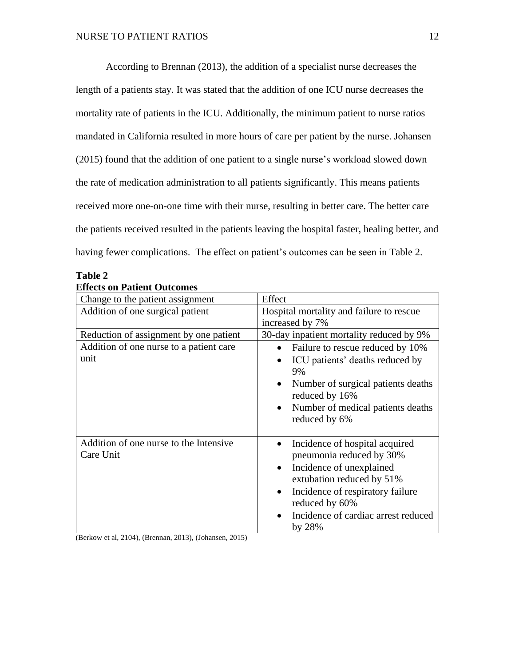According to Brennan (2013), the addition of a specialist nurse decreases the length of a patients stay. It was stated that the addition of one ICU nurse decreases the mortality rate of patients in the ICU. Additionally, the minimum patient to nurse ratios mandated in California resulted in more hours of care per patient by the nurse. Johansen (2015) found that the addition of one patient to a single nurse's workload slowed down the rate of medication administration to all patients significantly. This means patients received more one-on-one time with their nurse, resulting in better care. The better care the patients received resulted in the patients leaving the hospital faster, healing better, and having fewer complications. The effect on patient's outcomes can be seen in Table 2.

<span id="page-11-0"></span>

| Table 2                            |  |
|------------------------------------|--|
| <b>Effects on Patient Outcomes</b> |  |

| Change to the patient assignment                    | Effect                                                                                                                                                                                                                                                            |  |
|-----------------------------------------------------|-------------------------------------------------------------------------------------------------------------------------------------------------------------------------------------------------------------------------------------------------------------------|--|
| Addition of one surgical patient                    | Hospital mortality and failure to rescue                                                                                                                                                                                                                          |  |
|                                                     | increased by 7%                                                                                                                                                                                                                                                   |  |
| Reduction of assignment by one patient              | 30-day inpatient mortality reduced by 9%                                                                                                                                                                                                                          |  |
| Addition of one nurse to a patient care<br>unit     | Failure to rescue reduced by 10%<br>$\bullet$                                                                                                                                                                                                                     |  |
|                                                     | ICU patients' deaths reduced by<br>$\bullet$<br>9%                                                                                                                                                                                                                |  |
|                                                     | Number of surgical patients deaths<br>$\bullet$<br>reduced by 16%                                                                                                                                                                                                 |  |
|                                                     | Number of medical patients deaths<br>$\bullet$<br>reduced by 6%                                                                                                                                                                                                   |  |
| Addition of one nurse to the Intensive<br>Care Unit | Incidence of hospital acquired<br>$\bullet$<br>pneumonia reduced by 30%<br>Incidence of unexplained<br>$\bullet$<br>extubation reduced by 51%<br>Incidence of respiratory failure<br>$\bullet$<br>reduced by 60%<br>Incidence of cardiac arrest reduced<br>by 28% |  |

(Berkow et al, 2104), (Brennan, 2013), (Johansen, 2015)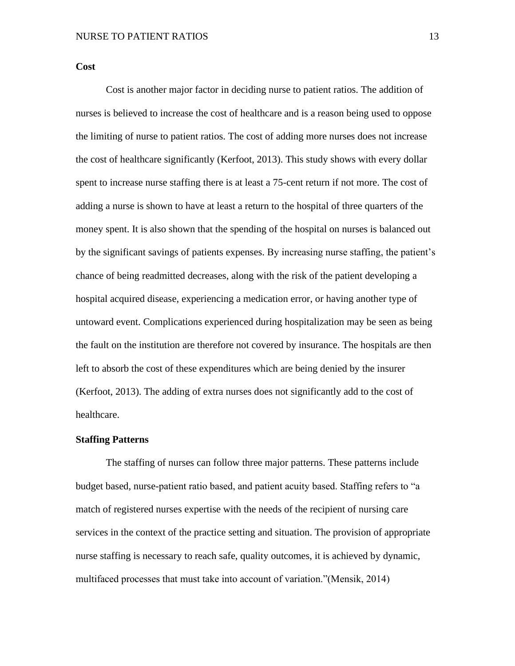<span id="page-12-0"></span>**Cost**

Cost is another major factor in deciding nurse to patient ratios. The addition of nurses is believed to increase the cost of healthcare and is a reason being used to oppose the limiting of nurse to patient ratios. The cost of adding more nurses does not increase the cost of healthcare significantly (Kerfoot, 2013). This study shows with every dollar spent to increase nurse staffing there is at least a 75-cent return if not more. The cost of adding a nurse is shown to have at least a return to the hospital of three quarters of the money spent. It is also shown that the spending of the hospital on nurses is balanced out by the significant savings of patients expenses. By increasing nurse staffing, the patient's chance of being readmitted decreases, along with the risk of the patient developing a hospital acquired disease, experiencing a medication error, or having another type of untoward event. Complications experienced during hospitalization may be seen as being the fault on the institution are therefore not covered by insurance. The hospitals are then left to absorb the cost of these expenditures which are being denied by the insurer (Kerfoot, 2013). The adding of extra nurses does not significantly add to the cost of healthcare.

#### <span id="page-12-1"></span>**Staffing Patterns**

The staffing of nurses can follow three major patterns. These patterns include budget based, nurse-patient ratio based, and patient acuity based. Staffing refers to "a match of registered nurses expertise with the needs of the recipient of nursing care services in the context of the practice setting and situation. The provision of appropriate nurse staffing is necessary to reach safe, quality outcomes, it is achieved by dynamic, multifaced processes that must take into account of variation."(Mensik, 2014)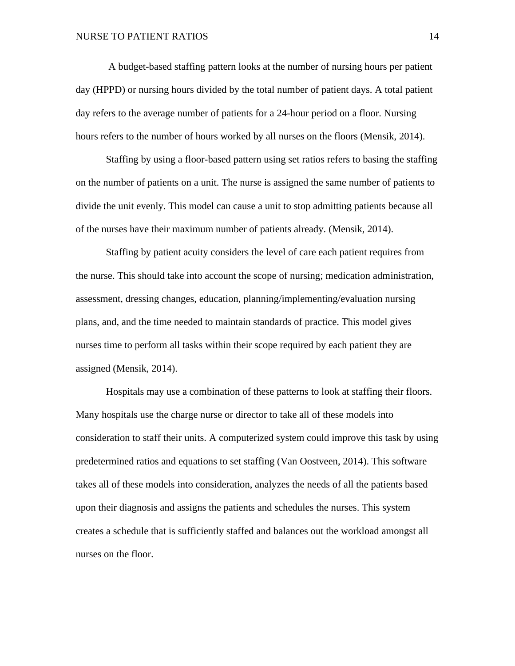A budget-based staffing pattern looks at the number of nursing hours per patient day (HPPD) or nursing hours divided by the total number of patient days. A total patient day refers to the average number of patients for a 24-hour period on a floor. Nursing hours refers to the number of hours worked by all nurses on the floors (Mensik, 2014).

Staffing by using a floor-based pattern using set ratios refers to basing the staffing on the number of patients on a unit. The nurse is assigned the same number of patients to divide the unit evenly. This model can cause a unit to stop admitting patients because all of the nurses have their maximum number of patients already. (Mensik, 2014).

Staffing by patient acuity considers the level of care each patient requires from the nurse. This should take into account the scope of nursing; medication administration, assessment, dressing changes, education, planning/implementing/evaluation nursing plans, and, and the time needed to maintain standards of practice. This model gives nurses time to perform all tasks within their scope required by each patient they are assigned (Mensik, 2014).

Hospitals may use a combination of these patterns to look at staffing their floors. Many hospitals use the charge nurse or director to take all of these models into consideration to staff their units. A computerized system could improve this task by using predetermined ratios and equations to set staffing (Van Oostveen, 2014). This software takes all of these models into consideration, analyzes the needs of all the patients based upon their diagnosis and assigns the patients and schedules the nurses. This system creates a schedule that is sufficiently staffed and balances out the workload amongst all nurses on the floor.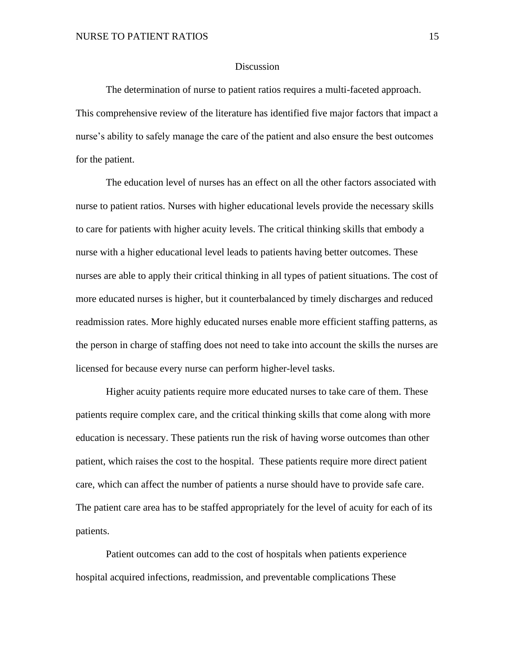#### Discussion

<span id="page-14-0"></span>The determination of nurse to patient ratios requires a multi-faceted approach. This comprehensive review of the literature has identified five major factors that impact a nurse's ability to safely manage the care of the patient and also ensure the best outcomes for the patient.

The education level of nurses has an effect on all the other factors associated with nurse to patient ratios. Nurses with higher educational levels provide the necessary skills to care for patients with higher acuity levels. The critical thinking skills that embody a nurse with a higher educational level leads to patients having better outcomes. These nurses are able to apply their critical thinking in all types of patient situations. The cost of more educated nurses is higher, but it counterbalanced by timely discharges and reduced readmission rates. More highly educated nurses enable more efficient staffing patterns, as the person in charge of staffing does not need to take into account the skills the nurses are licensed for because every nurse can perform higher-level tasks.

Higher acuity patients require more educated nurses to take care of them. These patients require complex care, and the critical thinking skills that come along with more education is necessary. These patients run the risk of having worse outcomes than other patient, which raises the cost to the hospital. These patients require more direct patient care, which can affect the number of patients a nurse should have to provide safe care. The patient care area has to be staffed appropriately for the level of acuity for each of its patients.

Patient outcomes can add to the cost of hospitals when patients experience hospital acquired infections, readmission, and preventable complications These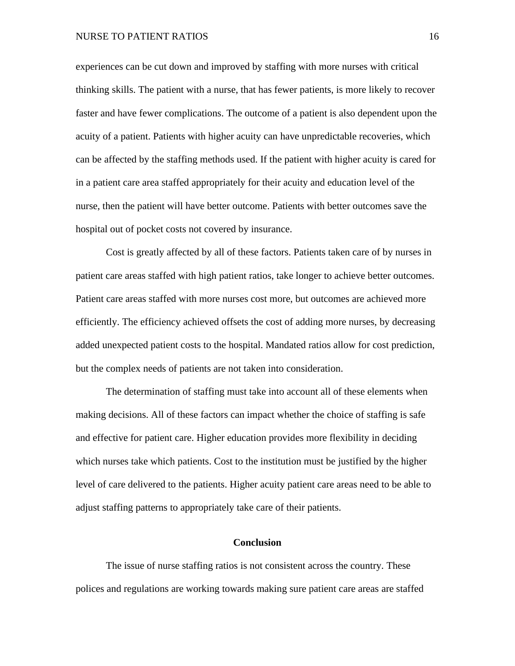#### NURSE TO PATIENT RATIOS 16

experiences can be cut down and improved by staffing with more nurses with critical thinking skills. The patient with a nurse, that has fewer patients, is more likely to recover faster and have fewer complications. The outcome of a patient is also dependent upon the acuity of a patient. Patients with higher acuity can have unpredictable recoveries, which can be affected by the staffing methods used. If the patient with higher acuity is cared for in a patient care area staffed appropriately for their acuity and education level of the nurse, then the patient will have better outcome. Patients with better outcomes save the hospital out of pocket costs not covered by insurance.

Cost is greatly affected by all of these factors. Patients taken care of by nurses in patient care areas staffed with high patient ratios, take longer to achieve better outcomes. Patient care areas staffed with more nurses cost more, but outcomes are achieved more efficiently. The efficiency achieved offsets the cost of adding more nurses, by decreasing added unexpected patient costs to the hospital. Mandated ratios allow for cost prediction, but the complex needs of patients are not taken into consideration.

The determination of staffing must take into account all of these elements when making decisions. All of these factors can impact whether the choice of staffing is safe and effective for patient care. Higher education provides more flexibility in deciding which nurses take which patients. Cost to the institution must be justified by the higher level of care delivered to the patients. Higher acuity patient care areas need to be able to adjust staffing patterns to appropriately take care of their patients.

## **Conclusion**

<span id="page-15-0"></span>The issue of nurse staffing ratios is not consistent across the country. These polices and regulations are working towards making sure patient care areas are staffed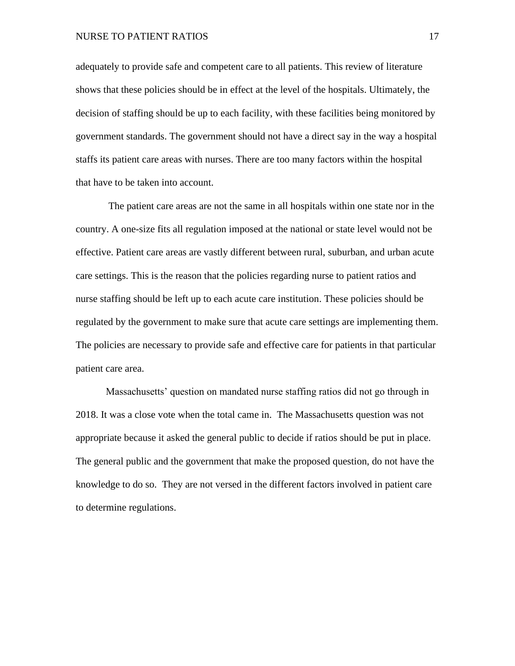#### NURSE TO PATIENT RATIOS 17

adequately to provide safe and competent care to all patients. This review of literature shows that these policies should be in effect at the level of the hospitals. Ultimately, the decision of staffing should be up to each facility, with these facilities being monitored by government standards. The government should not have a direct say in the way a hospital staffs its patient care areas with nurses. There are too many factors within the hospital that have to be taken into account.

The patient care areas are not the same in all hospitals within one state nor in the country. A one-size fits all regulation imposed at the national or state level would not be effective. Patient care areas are vastly different between rural, suburban, and urban acute care settings. This is the reason that the policies regarding nurse to patient ratios and nurse staffing should be left up to each acute care institution. These policies should be regulated by the government to make sure that acute care settings are implementing them. The policies are necessary to provide safe and effective care for patients in that particular patient care area.

Massachusetts' question on mandated nurse staffing ratios did not go through in 2018. It was a close vote when the total came in. The Massachusetts question was not appropriate because it asked the general public to decide if ratios should be put in place. The general public and the government that make the proposed question, do not have the knowledge to do so. They are not versed in the different factors involved in patient care to determine regulations.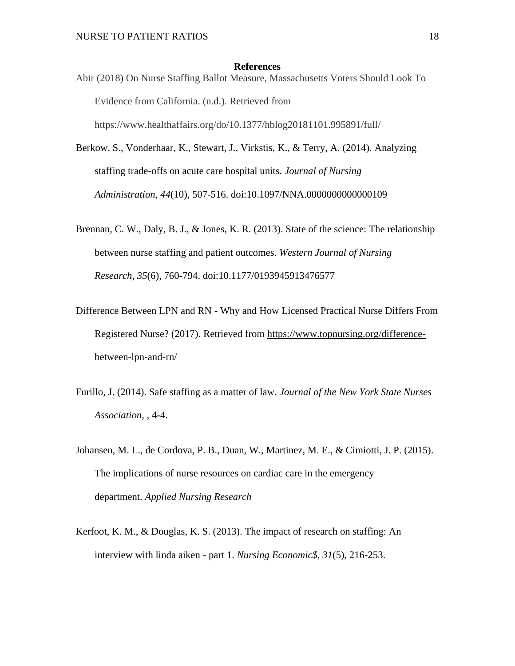#### **References**

<span id="page-17-0"></span>Abir (2018) On Nurse Staffing Ballot Measure, Massachusetts Voters Should Look To Evidence from California. (n.d.). Retrieved from https://www.healthaffairs.org/do/10.1377/hblog20181101.995891/full/

Berkow, S., Vonderhaar, K., Stewart, J., Virkstis, K., & Terry, A. (2014). Analyzing staffing trade-offs on acute care hospital units. *Journal of Nursing Administration, 44*(10), 507-516. doi:10.1097/NNA.0000000000000109

- Brennan, C. W., Daly, B. J., & Jones, K. R. (2013). State of the science: The relationship between nurse staffing and patient outcomes. *Western Journal of Nursing Research, 35*(6), 760-794. doi:10.1177/0193945913476577
- Difference Between LPN and RN Why and How Licensed Practical Nurse Differs From Registered Nurse? (2017). Retrieved from [https://www.topnursing.org/difference](https://www.topnursing.org/difference-)between-lpn-and-rn/
- Furillo, J. (2014). Safe staffing as a matter of law. *Journal of the New York State Nurses Association,* , 4-4.
- Johansen, M. L., de Cordova, P. B., Duan, W., Martinez, M. E., & Cimiotti, J. P. (2015). The implications of nurse resources on cardiac care in the emergency department. *Applied Nursing Research*
- Kerfoot, K. M., & Douglas, K. S. (2013). The impact of research on staffing: An interview with linda aiken - part 1. *Nursing Economic\$, 31*(5), 216-253.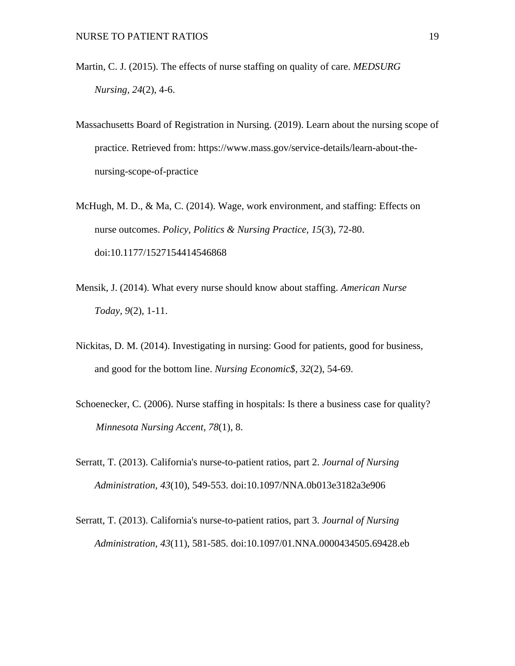- Martin, C. J. (2015). The effects of nurse staffing on quality of care. *MEDSURG Nursing, 24*(2), 4-6.
- Massachusetts Board of Registration in Nursing. (2019). Learn about the nursing scope of practice. Retrieved from: https://www.mass.gov/service-details/learn-about-thenursing-scope-of-practice
- McHugh, M. D., & Ma, C. (2014). Wage, work environment, and staffing: Effects on nurse outcomes. *Policy, Politics & Nursing Practice, 15*(3), 72-80. doi:10.1177/1527154414546868
- Mensik, J. (2014). What every nurse should know about staffing. *American Nurse Today, 9*(2), 1-11.
- Nickitas, D. M. (2014). Investigating in nursing: Good for patients, good for business, and good for the bottom line. *Nursing Economic\$, 32*(2), 54-69.
- Schoenecker, C. (2006). Nurse staffing in hospitals: Is there a business case for quality? *Minnesota Nursing Accent*, *78*(1), 8.
- Serratt, T. (2013). California's nurse-to-patient ratios, part 2. *Journal of Nursing Administration, 43*(10), 549-553. doi:10.1097/NNA.0b013e3182a3e906
- Serratt, T. (2013). California's nurse-to-patient ratios, part 3. *Journal of Nursing Administration, 43*(11), 581-585. doi:10.1097/01.NNA.0000434505.69428.eb